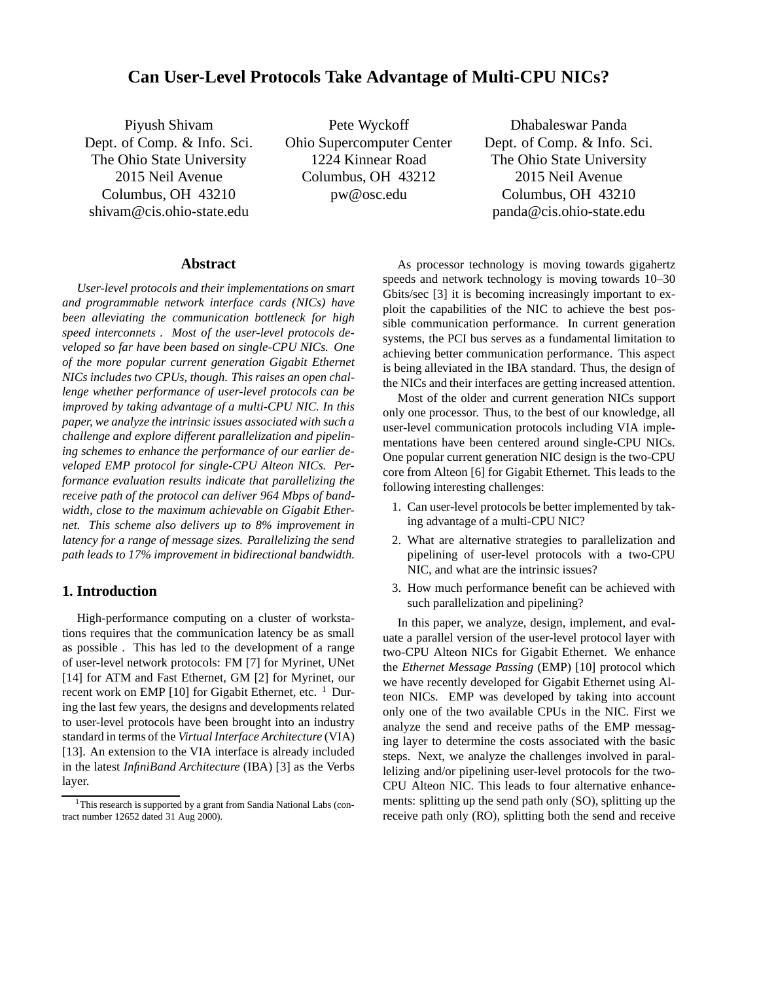# **Can User-Level Protocols Take Advantage of Multi-CPU NICs?**

Piyush Shivam Dept. of Comp. & Info. Sci. The Ohio State University 2015 Neil Avenue Columbus, OH 43210 shivam@cis.ohio-state.edu

Pete Wyckoff Ohio Supercomputer Center 1224 Kinnear Road Columbus, OH 43212 pw@osc.edu

Dhabaleswar Panda Dept. of Comp. & Info. Sci. The Ohio State University 2015 Neil Avenue Columbus, OH 43210 panda@cis.ohio-state.edu

# **Abstract**

*User-level protocols and their implementations on smart and programmable network interface cards (NICs) have been alleviating the communication bottleneck for high speed interconnets . Most of the user-level protocols developed so far have been based on single-CPU NICs. One of the more popular current generation Gigabit Ethernet NICs includes two CPUs, though. This raises an open challenge whether performance of user-level protocols can be improved by taking advantage of a multi-CPU NIC. In this paper, we analyze the intrinsic issues associated with such a challenge and explore different parallelization and pipelining schemes to enhance the performance of our earlier developed EMP protocol for single-CPU Alteon NICs. Performance evaluation results indicate that parallelizing the receive path of the protocol can deliver 964 Mbps of bandwidth, close to the maximum achievable on Gigabit Ethernet. This scheme also delivers up to 8% improvement in latency for a range of message sizes. Parallelizing the send path leads to 17% improvement in bidirectional bandwidth.*

# **1. Introduction**

High-performance computing on a cluster of workstations requires that the communication latency be as small as possible . This has led to the development of a range of user-level network protocols: FM [7] for Myrinet, UNet [14] for ATM and Fast Ethernet, GM [2] for Myrinet, our recent work on EMP [10] for Gigabit Ethernet, etc.  $1$  During the last few years, the designs and developments related to user-level protocols have been brought into an industry standard in terms of the *Virtual Interface Architecture* (VIA) [13]. An extension to the VIA interface is already included in the latest *InfiniBand Architecture* (IBA) [3] as the Verbs layer.

As processor technology is moving towards gigahertz speeds and network technology is moving towards 10–30 Gbits/sec [3] it is becoming increasingly important to exploit the capabilities of the NIC to achieve the best possible communication performance. In current generation systems, the PCI bus serves as a fundamental limitation to achieving better communication performance. This aspect is being alleviated in the IBA standard. Thus, the design of the NICs and their interfaces are getting increased attention.

Most of the older and current generation NICs support only one processor. Thus, to the best of our knowledge, all user-level communication protocols including VIA implementations have been centered around single-CPU NICs. One popular current generation NIC design is the two-CPU core from Alteon [6] for Gigabit Ethernet. This leads to the following interesting challenges:

- 1. Can user-level protocols be better implemented by taking advantage of a multi-CPU NIC?
- 2. What are alternative strategies to parallelization and pipelining of user-level protocols with a two-CPU NIC, and what are the intrinsic issues?
- 3. How much performance benefit can be achieved with such parallelization and pipelining?

In this paper, we analyze, design, implement, and evaluate a parallel version of the user-level protocol layer with two-CPU Alteon NICs for Gigabit Ethernet. We enhance the *Ethernet Message Passing* (EMP) [10] protocol which we have recently developed for Gigabit Ethernet using Alteon NICs. EMP was developed by taking into account only one of the two available CPUs in the NIC. First we analyze the send and receive paths of the EMP messaging layer to determine the costs associated with the basic steps. Next, we analyze the challenges involved in parallelizing and/or pipelining user-level protocols for the two-CPU Alteon NIC. This leads to four alternative enhancements: splitting up the send path only (SO), splitting up the receive path only (RO), splitting both the send and receive

<sup>&</sup>lt;sup>1</sup>This research is supported by a grant from Sandia National Labs (contract number 12652 dated 31 Aug 2000).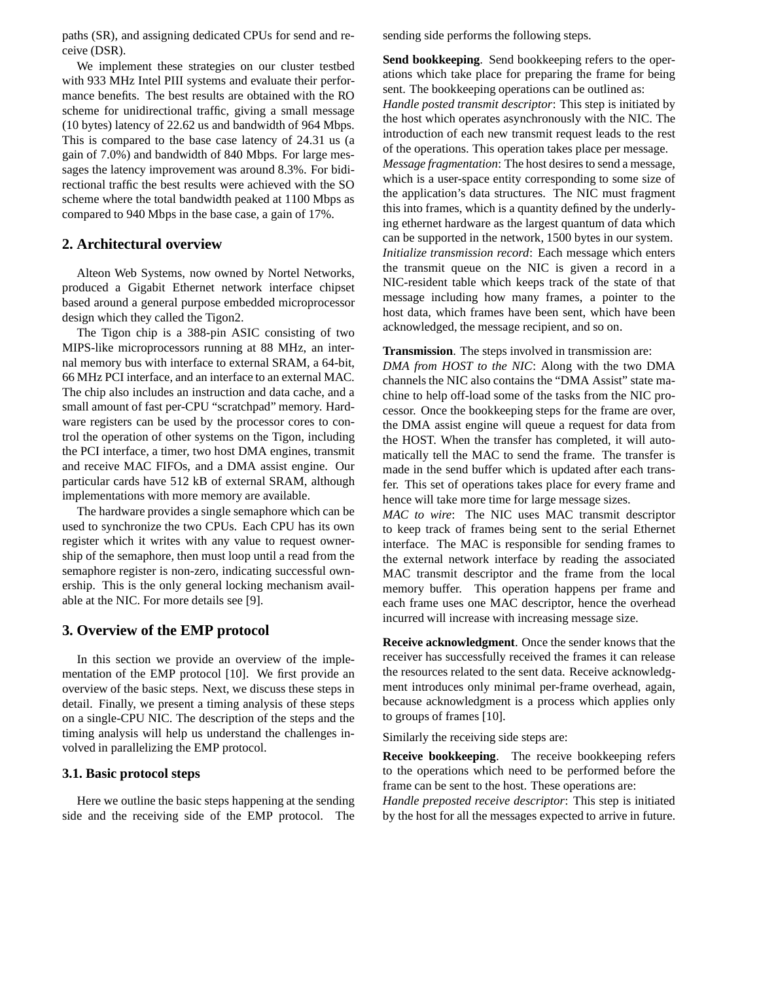paths (SR), and assigning dedicated CPUs for send and receive (DSR).

We implement these strategies on our cluster testbed with 933 MHz Intel PIII systems and evaluate their performance benefits. The best results are obtained with the RO scheme for unidirectional traffic, giving a small message (10 bytes) latency of 22.62 us and bandwidth of 964 Mbps. This is compared to the base case latency of 24.31 us (a gain of 7.0%) and bandwidth of 840 Mbps. For large messages the latency improvement was around 8.3%. For bidirectional traffic the best results were achieved with the SO scheme where the total bandwidth peaked at 1100 Mbps as compared to 940 Mbps in the base case, a gain of 17%.

# **2. Architectural overview**

Alteon Web Systems, now owned by Nortel Networks, produced a Gigabit Ethernet network interface chipset based around a general purpose embedded microprocessor design which they called the Tigon2.

The Tigon chip is a 388-pin ASIC consisting of two MIPS-like microprocessors running at 88 MHz, an internal memory bus with interface to external SRAM, a 64-bit, 66 MHz PCI interface, and an interface to an external MAC. The chip also includes an instruction and data cache, and a small amount of fast per-CPU "scratchpad" memory. Hardware registers can be used by the processor cores to control the operation of other systems on the Tigon, including the PCI interface, a timer, two host DMA engines, transmit and receive MAC FIFOs, and a DMA assist engine. Our particular cards have 512 kB of external SRAM, although implementations with more memory are available.

The hardware provides a single semaphore which can be used to synchronize the two CPUs. Each CPU has its own register which it writes with any value to request ownership of the semaphore, then must loop until a read from the semaphore register is non-zero, indicating successful ownership. This is the only general locking mechanism available at the NIC. For more details see [9].

### **3. Overview of the EMP protocol**

In this section we provide an overview of the implementation of the EMP protocol [10]. We first provide an overview of the basic steps. Next, we discuss these steps in detail. Finally, we present a timing analysis of these steps on a single-CPU NIC. The description of the steps and the timing analysis will help us understand the challenges involved in parallelizing the EMP protocol.

#### **3.1. Basic protocol steps**

Here we outline the basic steps happening at the sending side and the receiving side of the EMP protocol. The sending side performs the following steps.

**Send bookkeeping**. Send bookkeeping refers to the operations which take place for preparing the frame for being sent. The bookkeeping operations can be outlined as: *Handle posted transmit descriptor*: This step is initiated by the host which operates asynchronously with the NIC. The introduction of each new transmit request leads to the rest of the operations. This operation takes place per message. *Message fragmentation*: The host desires to send a message, which is a user-space entity corresponding to some size of the application's data structures. The NIC must fragment this into frames, which is a quantity defined by the underlying ethernet hardware as the largest quantum of data which can be supported in the network, 1500 bytes in our system. *Initialize transmission record*: Each message which enters the transmit queue on the NIC is given a record in a NIC-resident table which keeps track of the state of that message including how many frames, a pointer to the host data, which frames have been sent, which have been acknowledged, the message recipient, and so on.

#### **Transmission**. The steps involved in transmission are:

*DMA from HOST to the NIC*: Along with the two DMA channels the NIC also contains the "DMA Assist" state machine to help off-load some of the tasks from the NIC processor. Once the bookkeeping steps for the frame are over, the DMA assist engine will queue a request for data from the HOST. When the transfer has completed, it will automatically tell the MAC to send the frame. The transfer is made in the send buffer which is updated after each transfer. This set of operations takes place for every frame and hence will take more time for large message sizes.

*MAC to wire*: The NIC uses MAC transmit descriptor to keep track of frames being sent to the serial Ethernet interface. The MAC is responsible for sending frames to the external network interface by reading the associated MAC transmit descriptor and the frame from the local memory buffer. This operation happens per frame and each frame uses one MAC descriptor, hence the overhead incurred will increase with increasing message size.

**Receive acknowledgment**. Once the sender knows that the receiver has successfully received the frames it can release the resources related to the sent data. Receive acknowledgment introduces only minimal per-frame overhead, again, because acknowledgment is a process which applies only to groups of frames [10].

Similarly the receiving side steps are:

**Receive bookkeeping**. The receive bookkeeping refers to the operations which need to be performed before the frame can be sent to the host. These operations are: *Handle preposted receive descriptor*: This step is initiated

by the host for all the messages expected to arrive in future.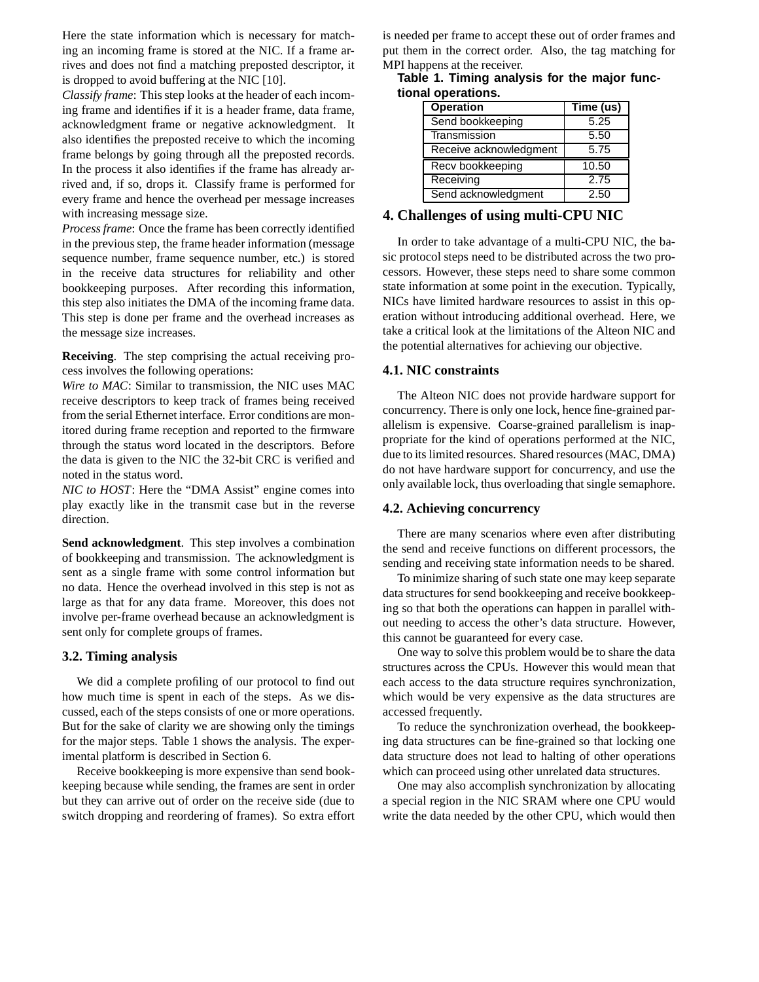Here the state information which is necessary for matching an incoming frame is stored at the NIC. If a frame arrives and does not find a matching preposted descriptor, it is dropped to avoid buffering at the NIC [10].

*Classify frame*: This step looks at the header of each incoming frame and identifies if it is a header frame, data frame, acknowledgment frame or negative acknowledgment. It also identifies the preposted receive to which the incoming frame belongs by going through all the preposted records. In the process it also identifies if the frame has already arrived and, if so, drops it. Classify frame is performed for every frame and hence the overhead per message increases with increasing message size.

*Process frame*: Once the frame has been correctly identified in the previous step, the frame header information (message sequence number, frame sequence number, etc.) is stored in the receive data structures for reliability and other bookkeeping purposes. After recording this information, this step also initiates the DMA of the incoming frame data. This step is done per frame and the overhead increases as the message size increases.

**Receiving**. The step comprising the actual receiving process involves the following operations:

*Wire to MAC*: Similar to transmission, the NIC uses MAC receive descriptors to keep track of frames being received from the serial Ethernet interface. Error conditions are monitored during frame reception and reported to the firmware through the status word located in the descriptors. Before the data is given to the NIC the 32-bit CRC is verified and noted in the status word.

*NIC to HOST*: Here the "DMA Assist" engine comes into play exactly like in the transmit case but in the reverse direction.

**Send acknowledgment**. This step involves a combination of bookkeeping and transmission. The acknowledgment is sent as a single frame with some control information but no data. Hence the overhead involved in this step is not as large as that for any data frame. Moreover, this does not involve per-frame overhead because an acknowledgment is sent only for complete groups of frames.

### **3.2. Timing analysis**

We did a complete profiling of our protocol to find out how much time is spent in each of the steps. As we discussed, each of the steps consists of one or more operations. But for the sake of clarity we are showing only the timings for the major steps. Table 1 shows the analysis. The experimental platform is described in Section 6.

Receive bookkeeping is more expensive than send bookkeeping because while sending, the frames are sent in order but they can arrive out of order on the receive side (due to switch dropping and reordering of frames). So extra effort is needed per frame to accept these out of order frames and put them in the correct order. Also, the tag matching for MPI happens at the receiver.

|                    | Table 1. Timing analysis for the major func- |  |  |
|--------------------|----------------------------------------------|--|--|
| tional operations. |                                              |  |  |

| <b>Operation</b>       | Time (us) |  |
|------------------------|-----------|--|
| Send bookkeeping       | 5.25      |  |
| Transmission           | 5.50      |  |
| Receive acknowledgment | 5.75      |  |
| Recv bookkeeping       | 10.50     |  |
| Receiving              | 2.75      |  |
| Send acknowledgment    | 2.50      |  |

# **4. Challenges of using multi-CPU NIC**

In order to take advantage of a multi-CPU NIC, the basic protocol steps need to be distributed across the two processors. However, these steps need to share some common state information at some point in the execution. Typically, NICs have limited hardware resources to assist in this operation without introducing additional overhead. Here, we take a critical look at the limitations of the Alteon NIC and the potential alternatives for achieving our objective.

#### **4.1. NIC constraints**

The Alteon NIC does not provide hardware support for concurrency. There is only one lock, hence fine-grained parallelism is expensive. Coarse-grained parallelism is inappropriate for the kind of operations performed at the NIC, due to its limited resources. Shared resources(MAC, DMA) do not have hardware support for concurrency, and use the only available lock, thus overloading that single semaphore.

#### **4.2. Achieving concurrency**

There are many scenarios where even after distributing the send and receive functions on different processors, the sending and receiving state information needs to be shared.

To minimize sharing of such state one may keep separate data structures for send bookkeeping and receive bookkeeping so that both the operations can happen in parallel without needing to access the other's data structure. However, this cannot be guaranteed for every case.

One way to solve this problem would be to share the data structures across the CPUs. However this would mean that each access to the data structure requires synchronization, which would be very expensive as the data structures are accessed frequently.

To reduce the synchronization overhead, the bookkeeping data structures can be fine-grained so that locking one data structure does not lead to halting of other operations which can proceed using other unrelated data structures.

One may also accomplish synchronization by allocating a special region in the NIC SRAM where one CPU would write the data needed by the other CPU, which would then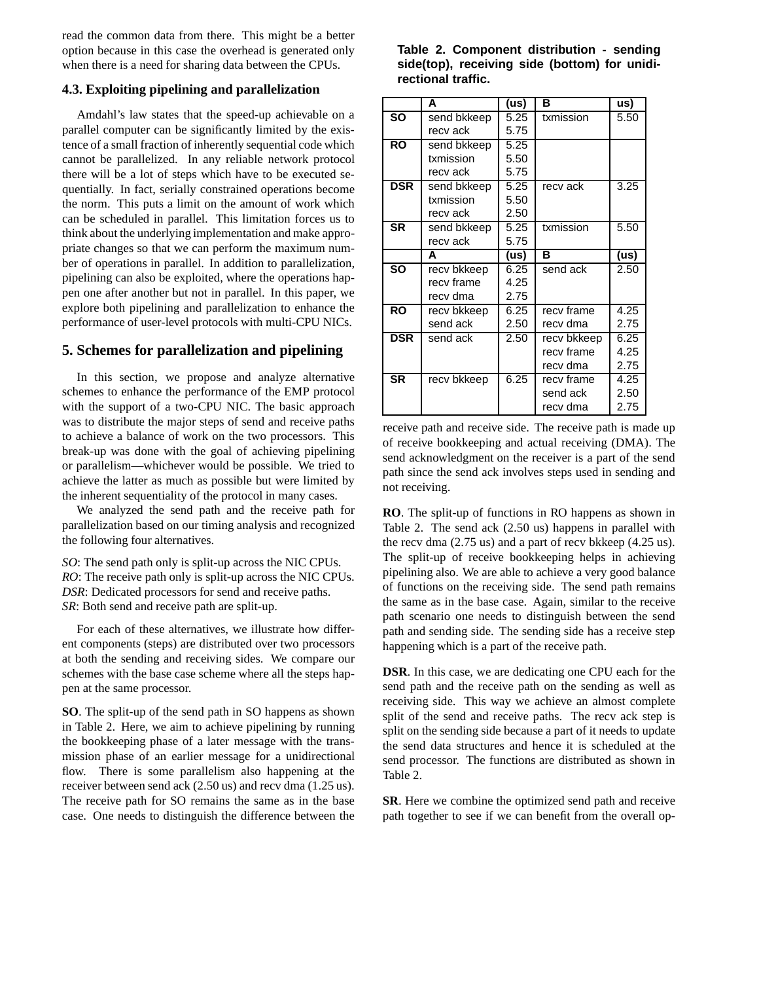read the common data from there. This might be a better option because in this case the overhead is generated only when there is a need for sharing data between the CPUs.

# **4.3. Exploiting pipelining and parallelization**

Amdahl's law states that the speed-up achievable on a parallel computer can be significantly limited by the existence of a small fraction of inherently sequential code which cannot be parallelized. In any reliable network protocol there will be a lot of steps which have to be executed sequentially. In fact, serially constrained operations become the norm. This puts a limit on the amount of work which can be scheduled in parallel. This limitation forces us to think about the underlying implementation and make appropriate changes so that we can perform the maximum number of operations in parallel. In addition to parallelization, pipelining can also be exploited, where the operations happen one after another but not in parallel. In this paper, we explore both pipelining and parallelization to enhance the performance of user-level protocols with multi-CPU NICs.

# **5. Schemes for parallelization and pipelining**

In this section, we propose and analyze alternative schemes to enhance the performance of the EMP protocol with the support of a two-CPU NIC. The basic approach was to distribute the major steps of send and receive paths to achieve a balance of work on the two processors. This break-up was done with the goal of achieving pipelining or parallelism—whichever would be possible. We tried to achieve the latter as much as possible but were limited by the inherent sequentiality of the protocol in many cases.

We analyzed the send path and the receive path for parallelization based on our timing analysis and recognized the following four alternatives.

*SO*: The send path only is split-up across the NIC CPUs. *RO*: The receive path only is split-up across the NIC CPUs. *DSR*: Dedicated processors for send and receive paths. *SR*: Both send and receive path are split-up.

For each of these alternatives, we illustrate how different components (steps) are distributed over two processors at both the sending and receiving sides. We compare our schemes with the base case scheme where all the steps happen at the same processor.

**SO**. The split-up of the send path in SO happens as shown in Table 2. Here, we aim to achieve pipelining by running the bookkeeping phase of a later message with the transmission phase of an earlier message for a unidirectional flow. There is some parallelism also happening at the receiver between send ack (2.50 us) and recv dma (1.25 us). The receive path for SO remains the same as in the base case. One needs to distinguish the difference between the

| Table 2. Component distribution - sending     |  |
|-----------------------------------------------|--|
| side(top), receiving side (bottom) for unidi- |  |
| rectional traffic.                            |  |

|            | A           | (us) | в           | us)  |
|------------|-------------|------|-------------|------|
| <b>SO</b>  | send bkkeep | 5.25 | txmission   | 5.50 |
|            | recv ack    | 5.75 |             |      |
| <b>RO</b>  | send bkkeep | 5.25 |             |      |
|            | txmission   | 5.50 |             |      |
|            | recv ack    | 5.75 |             |      |
| <b>DSR</b> | send bkkeep |      | recv ack    | 3.25 |
|            | txmission   | 5.50 |             |      |
|            | recv ack    | 2.50 |             |      |
| <b>SR</b>  | send bkkeep | 5.25 | txmission   | 5.50 |
|            | recv ack    | 5.75 |             |      |
|            | A           | (us) | в           | (us) |
| <b>SO</b>  | recv bkkeep | 6.25 | send ack    | 2.50 |
|            | recv frame  | 4.25 |             |      |
|            | recv dma    | 2.75 |             |      |
| <b>RO</b>  | recv bkkeep |      | recy frame  | 4.25 |
|            | send ack    | 2.50 | recv dma    | 2.75 |
| <b>DSR</b> | send ack    | 2.50 | recv bkkeep | 6.25 |
|            |             |      | recy frame  | 4.25 |
|            |             |      | recv dma    | 2.75 |
| <b>SR</b>  | recv bkkeep | 6.25 | recy frame  | 4.25 |
|            |             |      | send ack    | 2.50 |
|            |             |      | recv dma    | 2.75 |

receive path and receive side. The receive path is made up of receive bookkeeping and actual receiving (DMA). The send acknowledgment on the receiver is a part of the send path since the send ack involves steps used in sending and not receiving.

**RO**. The split-up of functions in RO happens as shown in Table 2. The send ack (2.50 us) happens in parallel with the recv dma (2.75 us) and a part of recv bkkeep (4.25 us). The split-up of receive bookkeeping helps in achieving pipelining also. We are able to achieve a very good balance of functions on the receiving side. The send path remains the same as in the base case. Again, similar to the receive path scenario one needs to distinguish between the send path and sending side. The sending side has a receive step happening which is a part of the receive path.

**DSR**. In this case, we are dedicating one CPU each for the send path and the receive path on the sending as well as receiving side. This way we achieve an almost complete split of the send and receive paths. The recv ack step is split on the sending side because a part of it needs to update the send data structures and hence it is scheduled at the send processor. The functions are distributed as shown in Table 2.

**SR**. Here we combine the optimized send path and receive path together to see if we can benefit from the overall op-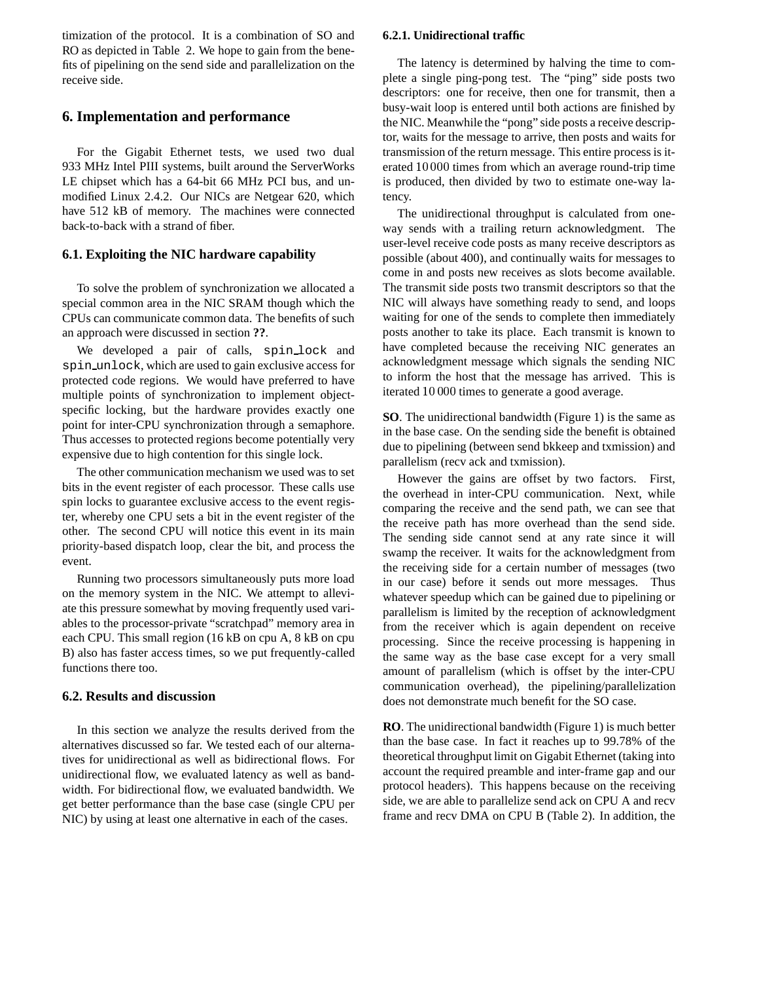timization of the protocol. It is a combination of SO and RO as depicted in Table 2. We hope to gain from the benefits of pipelining on the send side and parallelization on the receive side.

# **6. Implementation and performance**

For the Gigabit Ethernet tests, we used two dual 933 MHz Intel PIII systems, built around the ServerWorks LE chipset which has a 64-bit 66 MHz PCI bus, and unmodified Linux 2.4.2. Our NICs are Netgear 620, which have 512 kB of memory. The machines were connected back-to-back with a strand of fiber.

# **6.1. Exploiting the NIC hardware capability**

To solve the problem of synchronization we allocated a special common area in the NIC SRAM though which the CPUs can communicate common data. The benefits of such an approach were discussed in section **??**.

We developed a pair of calls, spin\_lock and spin unlock, which are used to gain exclusive access for protected code regions. We would have preferred to have multiple points of synchronization to implement objectspecific locking, but the hardware provides exactly one point for inter-CPU synchronization through a semaphore. Thus accesses to protected regions become potentially very expensive due to high contention for this single lock.

The other communication mechanism we used was to set bits in the event register of each processor. These calls use spin locks to guarantee exclusive access to the event register, whereby one CPU sets a bit in the event register of the other. The second CPU will notice this event in its main priority-based dispatch loop, clear the bit, and process the event.

Running two processors simultaneously puts more load on the memory system in the NIC. We attempt to alleviate this pressure somewhat by moving frequently used variables to the processor-private "scratchpad" memory area in each CPU. This small region (16 kB on cpu A, 8 kB on cpu B) also has faster access times, so we put frequently-called functions there too.

### **6.2. Results and discussion**

In this section we analyze the results derived from the alternatives discussed so far. We tested each of our alternatives for unidirectional as well as bidirectional flows. For unidirectional flow, we evaluated latency as well as bandwidth. For bidirectional flow, we evaluated bandwidth. We get better performance than the base case (single CPU per NIC) by using at least one alternative in each of the cases.

# **6.2.1. Unidirectional traffic**

The latency is determined by halving the time to complete a single ping-pong test. The "ping" side posts two descriptors: one for receive, then one for transmit, then a busy-wait loop is entered until both actions are finished by the NIC. Meanwhile the "pong" side posts a receive descriptor, waits for the message to arrive, then posts and waits for transmission of the return message. This entire process is iterated 10 000 times from which an average round-trip time is produced, then divided by two to estimate one-way latency.

The unidirectional throughput is calculated from oneway sends with a trailing return acknowledgment. The user-level receive code posts as many receive descriptors as possible (about 400), and continually waits for messages to come in and posts new receives as slots become available. The transmit side posts two transmit descriptors so that the NIC will always have something ready to send, and loops waiting for one of the sends to complete then immediately posts another to take its place. Each transmit is known to have completed because the receiving NIC generates an acknowledgment message which signals the sending NIC to inform the host that the message has arrived. This is iterated 10 000 times to generate a good average.

**SO**. The unidirectional bandwidth (Figure 1) is the same as in the base case. On the sending side the benefit is obtained due to pipelining (between send bkkeep and txmission) and parallelism (recv ack and txmission).

However the gains are offset by two factors. First, the overhead in inter-CPU communication. Next, while comparing the receive and the send path, we can see that the receive path has more overhead than the send side. The sending side cannot send at any rate since it will swamp the receiver. It waits for the acknowledgment from the receiving side for a certain number of messages (two in our case) before it sends out more messages. Thus whatever speedup which can be gained due to pipelining or parallelism is limited by the reception of acknowledgment from the receiver which is again dependent on receive processing. Since the receive processing is happening in the same way as the base case except for a very small amount of parallelism (which is offset by the inter-CPU communication overhead), the pipelining/parallelization does not demonstrate much benefit for the SO case.

**RO**. The unidirectional bandwidth (Figure 1) is much better than the base case. In fact it reaches up to 99.78% of the theoretical throughput limit on Gigabit Ethernet (taking into account the required preamble and inter-frame gap and our protocol headers). This happens because on the receiving side, we are able to parallelize send ack on CPU A and recv frame and recv DMA on CPU B (Table 2). In addition, the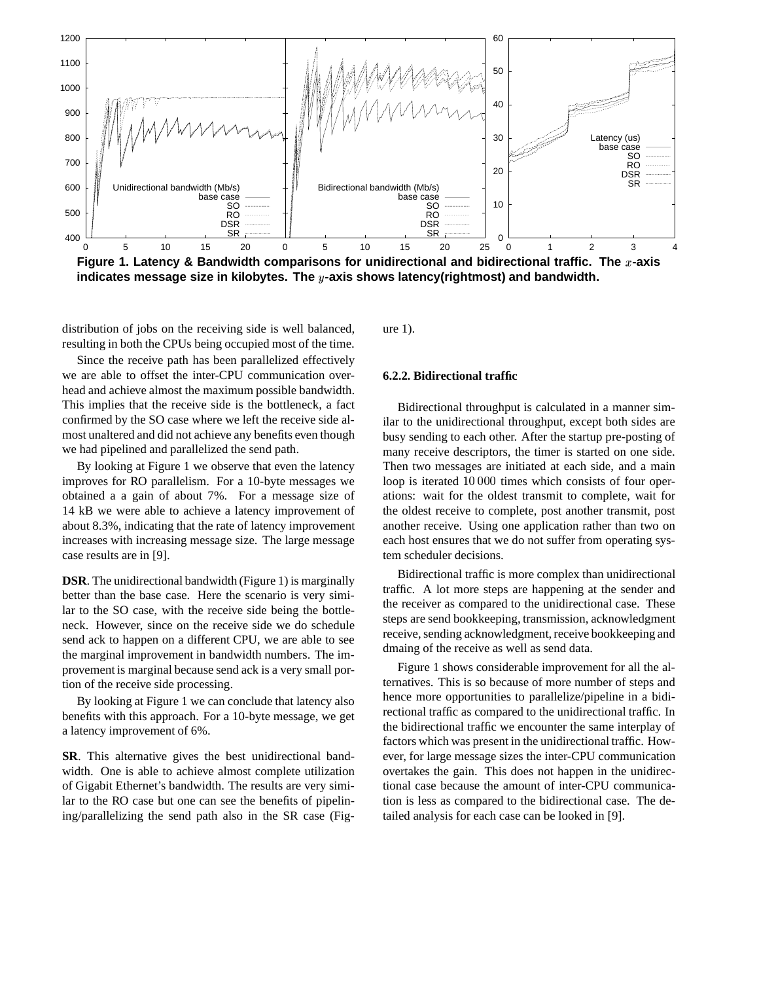

distribution of jobs on the receiving side is well balanced, resulting in both the CPUs being occupied most of the time.

Since the receive path has been parallelized effectively we are able to offset the inter-CPU communication overhead and achieve almost the maximum possible bandwidth. This implies that the receive side is the bottleneck, a fact confirmed by the SO case where we left the receive side almost unaltered and did not achieve any benefits even though we had pipelined and parallelized the send path.

By looking at Figure 1 we observe that even the latency improves for RO parallelism. For a 10-byte messages we obtained a a gain of about 7%. For a message size of 14 kB we were able to achieve a latency improvement of about 8.3%, indicating that the rate of latency improvement increases with increasing message size. The large message case results are in [9].

**DSR**. The unidirectional bandwidth (Figure 1) is marginally better than the base case. Here the scenario is very similar to the SO case, with the receive side being the bottleneck. However, since on the receive side we do schedule send ack to happen on a different CPU, we are able to see the marginal improvement in bandwidth numbers. The improvement is marginal because send ack is a very small portion of the receive side processing.

By looking at Figure 1 we can conclude that latency also benefits with this approach. For a 10-byte message, we get a latency improvement of 6%.

**SR**. This alternative gives the best unidirectional bandwidth. One is able to achieve almost complete utilization of Gigabit Ethernet's bandwidth. The results are very similar to the RO case but one can see the benefits of pipelining/parallelizing the send path also in the SR case (Figure 1).

#### **6.2.2. Bidirectional traffic**

Bidirectional throughput is calculated in a manner similar to the unidirectional throughput, except both sides are busy sending to each other. After the startup pre-posting of many receive descriptors, the timer is started on one side. Then two messages are initiated at each side, and a main loop is iterated 10 000 times which consists of four operations: wait for the oldest transmit to complete, wait for the oldest receive to complete, post another transmit, post another receive. Using one application rather than two on each host ensures that we do not suffer from operating system scheduler decisions.

Bidirectional traffic is more complex than unidirectional traffic. A lot more steps are happening at the sender and the receiver as compared to the unidirectional case. These steps are send bookkeeping, transmission, acknowledgment receive, sending acknowledgment, receive bookkeeping and dmaing of the receive as well as send data.

Figure 1 shows considerable improvement for all the alternatives. This is so because of more number of steps and hence more opportunities to parallelize/pipeline in a bidirectional traffic as compared to the unidirectional traffic. In the bidirectional traffic we encounter the same interplay of factors which was present in the unidirectional traffic. However, for large message sizes the inter-CPU communication overtakes the gain. This does not happen in the unidirectional case because the amount of inter-CPU communication is less as compared to the bidirectional case. The detailed analysis for each case can be looked in [9].